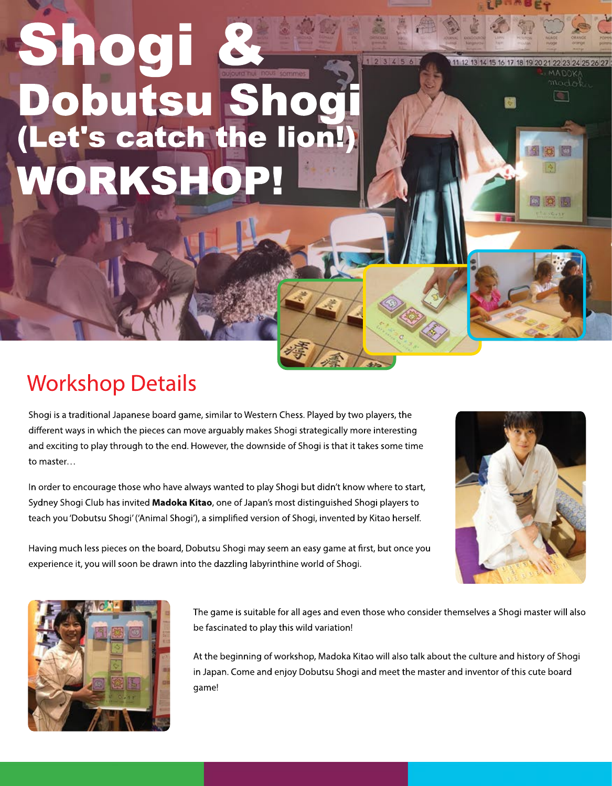# WORKSHO (Let's catch the lion!) Dobutsu Shogi Shogi

### **Workshop Details**

Shogi is a traditional Japanese board game, similar to Western Chess. Played by two players, the different ways in which the pieces can move arguably makes Shogi strategically more interesting and exciting to play through to the end. However, the downside of Shogi is that it takes some time to master...

In order to encourage those who have always wanted to play Shogi but didn't know where to start, Sydney Shogi Club has invited Madoka Kitao, one of Japan's most distinguished Shogi players to teach you 'Dobutsu Shogi' ('Animal Shogi'), a simplified version of Shogi, invented by Kitao herself.



11 12 13 14 15 16 17 18 19 20

国内国





The game is suitable for all ages and even those who consider themselves a Shogi master will also be fascinated to play this wild variation!

At the beginning of workshop, Madoka Kitao will also talk about the culture and history of Shogi in Japan. Come and enjoy Dobutsu Shogi and meet the master and inventor of this cute board game!